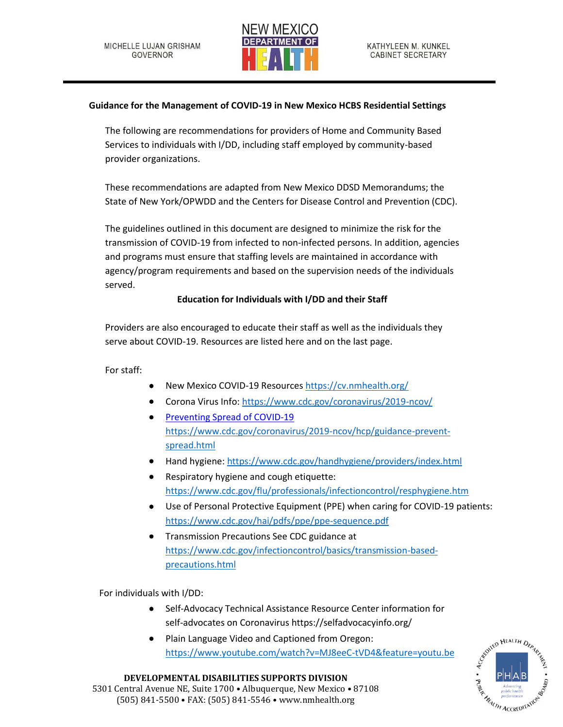

## **Guidance for the Management of COVID-19 in New Mexico HCBS Residential Settings**

The following are recommendations for providers of Home and Community Based Services to individuals with I/DD, including staff employed by community-based provider organizations.

These recommendations are adapted from New Mexico DDSD Memorandums; the State of New York/OPWDD and the Centers for Disease Control and Prevention (CDC).

The guidelines outlined in this document are designed to minimize the risk for the transmission of COVID-19 from infected to non-infected persons. In addition, agencies and programs must ensure that staffing levels are maintained in accordance with agency/program requirements and based on the supervision needs of the individuals served.

# **Education for Individuals with I/DD and their Staff**

Providers are also encouraged to educate their staff as well as the individuals they serve about COVID-19. Resources are listed here and on the last page.

For staff:

- New Mexico COVID-19 Resources<https://cv.nmhealth.org/>
- Corona Virus Info:<https://www.cdc.gov/coronavirus/2019-ncov/>
- Preventing Spread of COVID-19 [https://www.cdc.gov/coronavirus/2019-ncov/hcp/guidance-prevent](https://www.cdc.gov/coronavirus/2019-ncov/hcp/guidance-prevent-spread.html)[spread.html](https://www.cdc.gov/coronavirus/2019-ncov/hcp/guidance-prevent-spread.html)
- Hand hygiene:<https://www.cdc.gov/handhygiene/providers/index.html>
- Respiratory hygiene and cough etiquette: <https://www.cdc.gov/flu/professionals/infectioncontrol/resphygiene.htm>
- Use of Personal Protective Equipment (PPE) when caring for COVID-19 patients: <https://www.cdc.gov/hai/pdfs/ppe/ppe-sequence.pdf>
- Transmission Precautions See CDC guidance at [https://www.cdc.gov/infectioncontrol/basics/transmission-based](https://www.cdc.gov/infectioncontrol/basics/transmission-based-precautions.html)[precautions.html](https://www.cdc.gov/infectioncontrol/basics/transmission-based-precautions.html)

For individuals with I/DD:

- Self-Advocacy Technical Assistance Resource Center information for self-advocates on Coronavirus<https://selfadvocacyinfo.org/>
- Plain Language Video and Captioned from Oregon: <https://www.youtube.com/watch?v=MJ8eeC-tVD4&feature=youtu.be>



#### **DEVELOPMENTAL DISABILITIES SUPPORTS DIVISION** 5301 Central Avenue NE, Suite 1700 • Albuquerque, New Mexico • 87108 (505) 841-5500 • FAX: (505) 841-5546 • www.nmhealth.org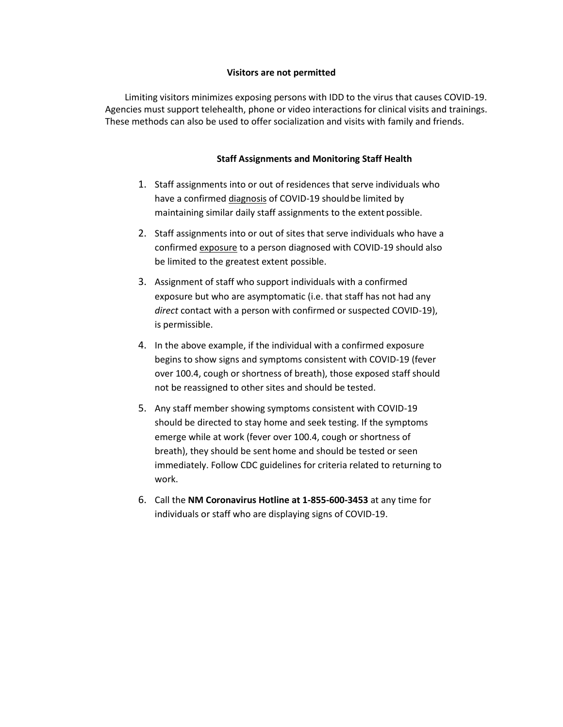#### **Visitors are not permitted**

Limiting visitors minimizes exposing persons with IDD to the virus that causes COVID-19. Agencies must support telehealth, phone or video interactions for clinical visits and trainings. These methods can also be used to offer socialization and visits with family and friends.

## **Staff Assignments and Monitoring Staff Health**

- 1. Staff assignments into or out of residences that serve individuals who have a confirmed diagnosis of COVID-19 should be limited by maintaining similar daily staff assignments to the extent possible.
- 2. Staff assignments into or out of sites that serve individuals who have a confirmed exposure to a person diagnosed with COVID-19 should also be limited to the greatest extent possible.
- 3. Assignment of staff who support individuals with a confirmed exposure but who are asymptomatic (i.e. that staff has not had any *direct* contact with a person with confirmed or suspected COVID-19), is permissible.
- 4. In the above example, if the individual with a confirmed exposure begins to show signs and symptoms consistent with COVID-19 (fever over 100.4, cough or shortness of breath), those exposed staff should not be reassigned to other sites and should be tested.
- 5. Any staff member showing symptoms consistent with COVID-19 should be directed to stay home and seek testing. If the symptoms emerge while at work (fever over 100.4, cough or shortness of breath), they should be sent home and should be tested or seen immediately. Follow CDC guidelines for criteria related to returning to work.
- 6. Call the **NM Coronavirus Hotline at 1-855-600-3453** at any time for individuals or staff who are displaying signs of COVID-19.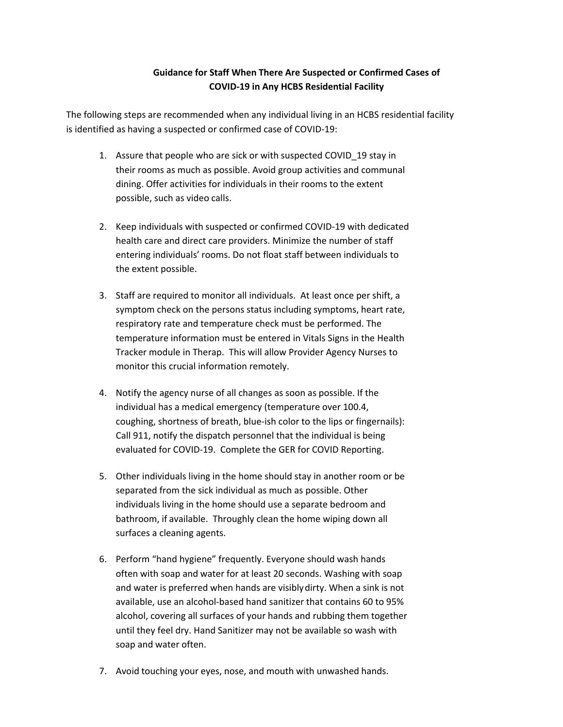# **Guidance for Staff When There Are Suspected or Confirmed Cases of COVID-19 in Any HCBS Residential Facility**

The following steps are recommended when any individual living in an HCBS residential facility is identified as having a suspected or confirmed case of COVID-19:

- 1. Assure that people who are sick or with suspected COVID\_19 stay in their rooms as much as possible. Avoid group activities and communal dining. Offer activities for individuals in their rooms to the extent possible, such as video calls.
- 2. Keep individuals with suspected or confirmed COVID-19 with dedicated health care and direct care providers. Minimize the number of staff entering individuals' rooms. Do not float staff between individuals to the extent possible.
- 3. Staff are required to monitor all individuals. At least once per shift, a symptom check on the persons status including symptoms, heart rate, respiratory rate and temperature check must be performed. The temperature information must be entered in Vitals Signs in the Health Tracker module in Therap. This will allow Provider Agency Nurses to monitor this crucial information remotely.
- 4. Notify the agency nurse of all changes as soon as possible. If the individual has a medical emergency (temperature over 100.4, coughing, shortness of breath, blue-ish color to the lips or fingernails): Call 911, notify the dispatch personnel that the individual is being evaluated for COVID-19. Complete the GER for COVID Reporting.
- 5. Other individuals living in the home should stay in another room or be separated from the sick individual as much as possible. Other individuals living in the home should use a separate bedroom and bathroom, if available. Throughly clean the home wiping down all surfaces a cleaning agents.
- 6. Perform "hand hygiene" frequently. Everyone should wash hands often with soap and water for at least 20 seconds. Washing with soap and water is preferred when hands are visibly dirty. When a sink is not available, use an alcohol-based hand sanitizer that contains 60 to 95% alcohol, covering all surfaces of your hands and rubbing them together until they feel dry. Hand Sanitizer may not be available so wash with soap and water often.
- 7. Avoid touching your eyes, nose, and mouth with unwashed hands.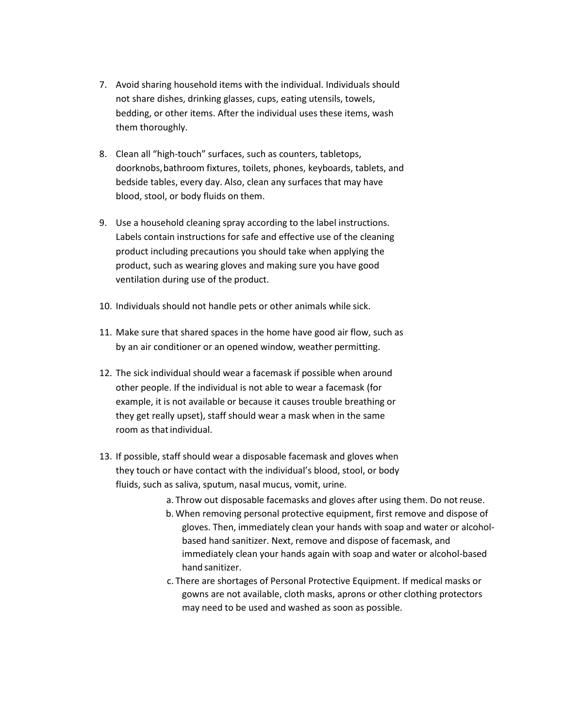- 7. Avoid sharing household items with the individual. Individuals should not share dishes, drinking glasses, cups, eating utensils, towels, bedding, or other items. After the individual uses these items, wash them thoroughly.
- 8. Clean all "high-touch" surfaces, such as counters, tabletops, doorknobs,bathroom fixtures, toilets, phones, keyboards, tablets, and bedside tables, every day. Also, clean any surfaces that may have blood, stool, or body fluids on them.
- 9. Use a household cleaning spray according to the label instructions. Labels contain instructions for safe and effective use of the cleaning product including precautions you should take when applying the product, such as wearing gloves and making sure you have good ventilation during use of the product.
- 10. Individuals should not handle pets or other animals while sick.
- 11. Make sure that shared spaces in the home have good air flow, such as by an air conditioner or an opened window, weather permitting.
- 12. The sick individual should wear a facemask if possible when around other people. If the individual is not able to wear a facemask (for example, it is not available or because it causes trouble breathing or they get really upset), staff should wear a mask when in the same room as that individual.
- 13. If possible, staff should wear a disposable facemask and gloves when they touch or have contact with the individual's blood, stool, or body fluids, such as saliva, sputum, nasal mucus, vomit, urine.
	- a. Throw out disposable facemasks and gloves after using them. Do notreuse.
	- b. When removing personal protective equipment, first remove and dispose of gloves. Then, immediately clean your hands with soap and water or alcoholbased hand sanitizer. Next, remove and dispose of facemask, and immediately clean your hands again with soap and water or alcohol-based hand sanitizer.
	- c. There are shortages of Personal Protective Equipment. If medical masks or gowns are not available, cloth masks, aprons or other clothing protectors may need to be used and washed as soon as possible.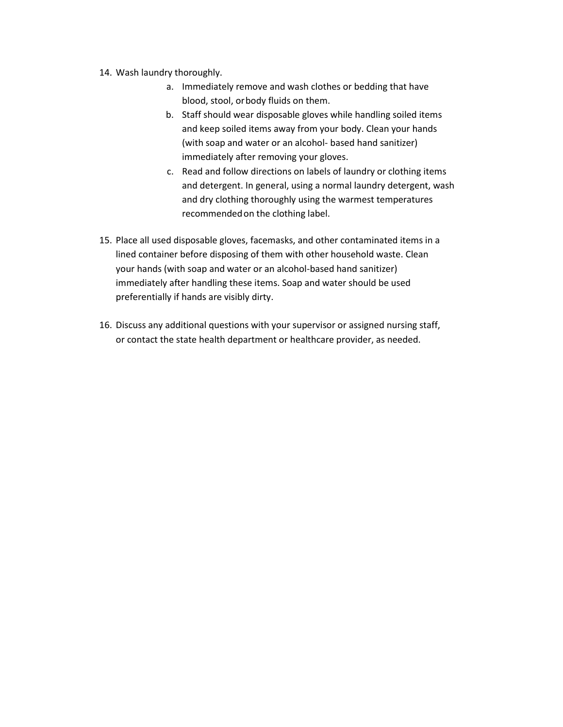- 14. Wash laundry thoroughly.
	- a. Immediately remove and wash clothes or bedding that have blood, stool, orbody fluids on them.
	- b. Staff should wear disposable gloves while handling soiled items and keep soiled items away from your body. Clean your hands (with soap and water or an alcohol- based hand sanitizer) immediately after removing your gloves.
	- c. Read and follow directions on labels of laundry or clothing items and detergent. In general, using a normal laundry detergent, wash and dry clothing thoroughly using the warmest temperatures recommendedon the clothing label.
- 15. Place all used disposable gloves, facemasks, and other contaminated items in a lined container before disposing of them with other household waste. Clean your hands (with soap and water or an alcohol-based hand sanitizer) immediately after handling these items. Soap and water should be used preferentially if hands are visibly dirty.
- 16. Discuss any additional questions with your supervisor or assigned nursing staff, or contact the state health department or healthcare provider, as needed.